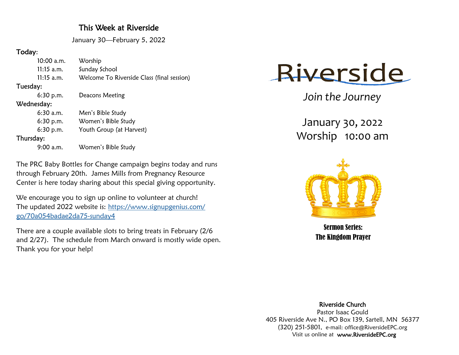## This Week at Riverside

January 30—February 5, 2022

## Today:

|            | 10:00 a.m.   | Worship                                    |
|------------|--------------|--------------------------------------------|
|            | $11:15$ a.m. | Sunday School                              |
|            | $11:15$ a.m. | Welcome To Riverside Class (final session) |
| Tuesday:   |              |                                            |
|            | $6:30$ p.m.  | Deacons Meeting                            |
| Wednesday: |              |                                            |
|            | $6:30$ a.m.  | Men's Bible Study                          |
|            | $6:30$ p.m.  | Women's Bible Study                        |
|            | $6:30$ p.m.  | Youth Group (at Harvest)                   |
| Thursday:  |              |                                            |
|            | 9:00 a.m.    | Women's Bible Study                        |
|            |              |                                            |

The PRC Baby Bottles for Change campaign begins today and runs through February 20th. James Mills from Pregnancy Resource Center is here today sharing about this special giving opportunity.

We encourage you to sign up online to volunteer at church! The updated 2022 website is: [https://www.signupgenius.com/](https://www.signupgenius.com/go/70a054badae2da75-sunday4) [go/70a054badae2da75-sunday4](https://www.signupgenius.com/go/70a054badae2da75-sunday4)

There are a couple available slots to bring treats in February (2/6 and 2/27). The schedule from March onward is mostly wide open. Thank you for your help!



*Join the Journey*

January 30, 2022 Worship 10:00 am



Sermon Series: The Kingdom Prayer

Riverside Church

Pastor Isaac Gould 405 Riverside Ave N., PO Box 139, Sartell, MN 56377 (320) 251-5801, e-mail: office@RiversideEPC.org Visit us online at www.RiversideEPC.org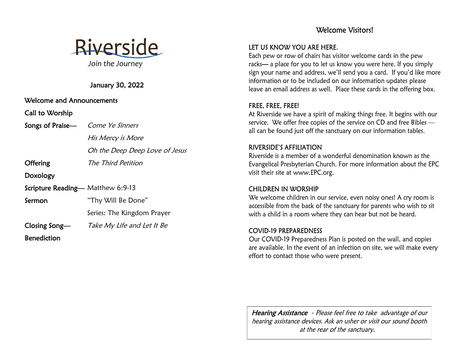# Riverside *Join the Journey*

January 30, 2022

Welcome and Announcements

Call to Worship

Songs of Praise— Come Ye Sinners

His Mercy is More

Oh the Deep Deep Love of Jesus

Offering The Third Petition

Doxology

Scripture Reading— Matthew 6:9-13

Sermon "Thy Will Be Done"

Series: The Kingdom Prayer

Closing Song— Take My Life and Let It Be

Benediction

## Welcome Visitors!

#### LET US KNOW YOU ARE HERE.

Each pew or row of chairs has visitor welcome cards in the pew racks— a place for you to let us know you were here. If you simply sign your name and address, we'll send you a card. If you'd like more information or to be included on our information updates please leave an email address as well. Place these cards in the offering box.

#### FREE, FREE, FREE!

At Riverside we have a spirit of making things free. It begins with our service. We offer free copies of the service on CD and free Bibles all can be found just off the sanctuary on our information tables.

#### **RIVERSIDE'S AFFILIATION**

Riverside is a member of a wonderful denomination known as the Evangelical Presbyterian Church. For more information about the EPC visit their site at www.EPC.org.

#### **CHILDREN IN WORSHIP**

We welcome children in our service, even noisy ones! A cry room is accessible from the back of the sanctuary for parents who wish to sit with a child in a room where they can hear but not be heard.

#### **COVID-19 PREPAREDNESS**

Our COVID-19 Preparedness Plan is posted on the wall, and copies are available. In the event of an infection on site, we will make every effort to contact those who were present.

Hearing Assistance - Please feel free to take advantage of our hearing assistance devices. Ask an usher or visit our sound booth at the rear of the sanctuary.